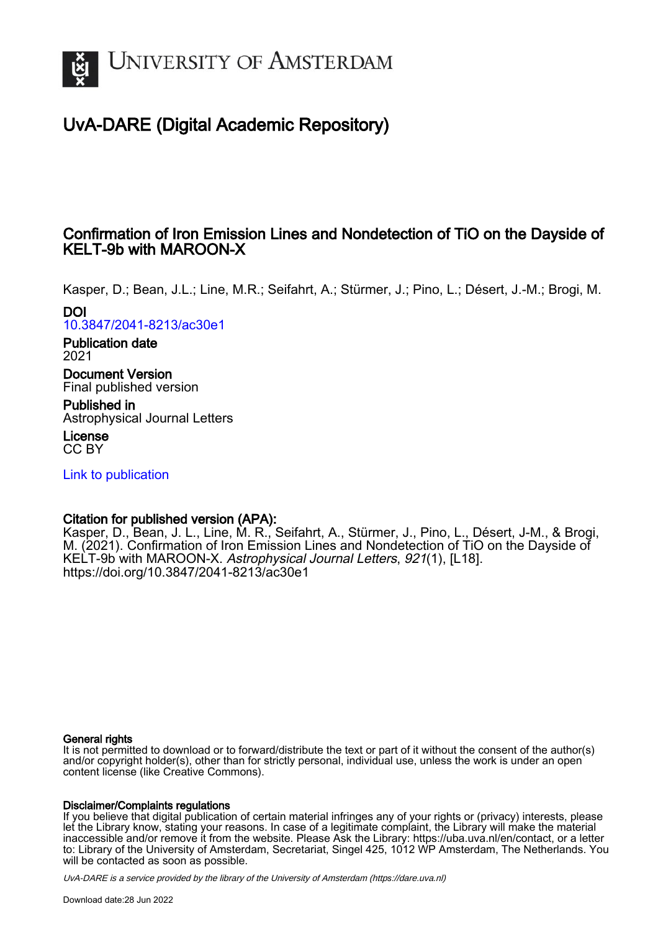

# UvA-DARE (Digital Academic Repository)

# Confirmation of Iron Emission Lines and Nondetection of TiO on the Dayside of KELT-9b with MAROON-X

Kasper, D.; Bean, J.L.; Line, M.R.; Seifahrt, A.; Stürmer, J.; Pino, L.; Désert, J.-M.; Brogi, M. DOI

[10.3847/2041-8213/ac30e1](https://doi.org/10.3847/2041-8213/ac30e1)

Publication date 2021

Document Version Final published version

Published in Astrophysical Journal Letters

License CC BY

[Link to publication](https://dare.uva.nl/personal/pure/en/publications/confirmation-of-iron-emission-lines-and-nondetection-of-tio-on-the-dayside-of-kelt9b-with-maroonx(5acc4284-9ef9-4099-b8ec-c359b7bff05e).html)

## Citation for published version (APA):

Kasper, D., Bean, J. L., Line, M. R., Seifahrt, A., Stürmer, J., Pino, L., Désert, J-M., & Brogi, M. (2021). Confirmation of Iron Emission Lines and Nondetection of TiO on the Dayside of KELT-9b with MAROON-X. Astrophysical Journal Letters, 921(1), [L18]. <https://doi.org/10.3847/2041-8213/ac30e1>

### General rights

It is not permitted to download or to forward/distribute the text or part of it without the consent of the author(s) and/or copyright holder(s), other than for strictly personal, individual use, unless the work is under an open content license (like Creative Commons).

### Disclaimer/Complaints regulations

If you believe that digital publication of certain material infringes any of your rights or (privacy) interests, please let the Library know, stating your reasons. In case of a legitimate complaint, the Library will make the material inaccessible and/or remove it from the website. Please Ask the Library: https://uba.uva.nl/en/contact, or a letter to: Library of the University of Amsterdam, Secretariat, Singel 425, 1012 WP Amsterdam, The Netherlands. You will be contacted as soon as possible.

UvA-DARE is a service provided by the library of the University of Amsterdam (http*s*://dare.uva.nl)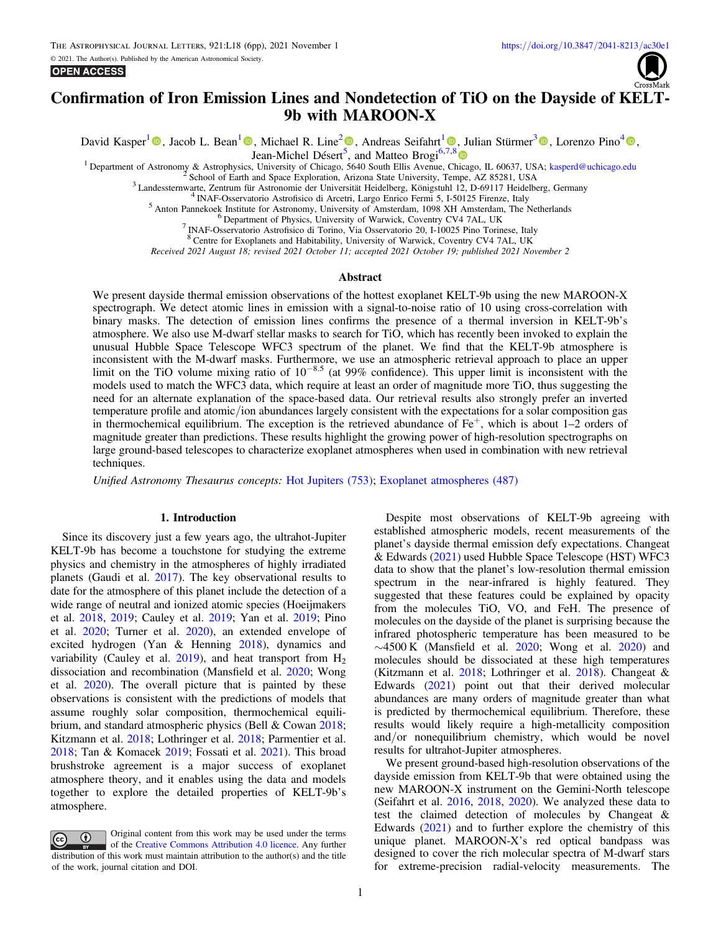

## Confirmation of Iron Emission Lines and Nondetection of TiO on the Dayside of KELT-9b with MAROON-X

David Kasper<sup>[1](https://orcid.org/0000-0003-4526-3747)</sup> **.** Jacob L. Bean<sup>1</sup> **.** Michael R. Line<sup>[2](https://orcid.org/0000-0002-2338-476X)</sup> **.** Andreas Seifahrt<sup>1</sup> **.** Julian Stürmer<sup>[3](https://orcid.org/0000-0002-4410-4712)</sup> **.** Lorenzo Pino<sup>[4](https://orcid.org/0000-0002-1321-8856)</sup> **.** 

Jean-Michel Désert<sup>[5](https://orcid.org/0000-0002-2338-476X)</sup>, and Matteo Brogi<sup>6,[7,](https://orcid.org/0000-0003-4526-3747)[8](https://orcid.org/0000-0002-7704-0153)</sup>

<sup>1</sup> Department of Astronomy & Astrophysics, University of Chicago, 5640 South Ellis Avenue, Chicago, IL 60637, USA; [kasperd@uchicago.edu](mailto:kasperd@uchicago.edu) <sup>2</sup> School of Earth and Space Exploration, Arizona State University, Tempe, AZ 85281

Received 2021 August 18; revised 2021 October 11; accepted 2021 October 19; published 2021 November 2

#### Abstract

We present dayside thermal emission observations of the hottest exoplanet KELT-9b using the new MAROON-X spectrograph. We detect atomic lines in emission with a signal-to-noise ratio of 10 using cross-correlation with binary masks. The detection of emission lines confirms the presence of a thermal inversion in KELT-9b's atmosphere. We also use M-dwarf stellar masks to search for TiO, which has recently been invoked to explain the unusual Hubble Space Telescope WFC3 spectrum of the planet. We find that the KELT-9b atmosphere is inconsistent with the M-dwarf masks. Furthermore, we use an atmospheric retrieval approach to place an upper limit on the TiO volume mixing ratio of 10−8.5 (at 99% confidence). This upper limit is inconsistent with the models used to match the WFC3 data, which require at least an order of magnitude more TiO, thus suggesting the need for an alternate explanation of the space-based data. Our retrieval results also strongly prefer an inverted temperature profile and atomic/ion abundances largely consistent with the expectations for a solar composition gas in thermochemical equilibrium. The exception is the retrieved abundance of  $Fe<sup>+</sup>$ , which is about 1–2 orders of magnitude greater than predictions. These results highlight the growing power of high-resolution spectrographs on large ground-based telescopes to characterize exoplanet atmospheres when used in combination with new retrieval techniques.

Unified Astronomy Thesaurus concepts: [Hot Jupiters](http://astrothesaurus.org/uat/753) (753); [Exoplanet atmospheres](http://astrothesaurus.org/uat/487) (487)

#### 1. Introduction

Since its discovery just a few years ago, the ultrahot-Jupiter KELT-9b has become a touchstone for studying the extreme physics and chemistry in the atmospheres of highly irradiated planets (Gaudi et al. [2017](#page-5-0)). The key observational results to date for the atmosphere of this planet include the detection of a wide range of neutral and ionized atomic species (Hoeijmakers et al. [2018,](#page-5-0) [2019;](#page-5-0) Cauley et al. [2019](#page-5-0); Yan et al. [2019](#page-6-0); Pino et al. [2020](#page-6-0); Turner et al. [2020](#page-6-0)), an extended envelope of excited hydrogen (Yan & Henning [2018](#page-6-0)), dynamics and variability (Cauley et al. [2019](#page-5-0)), and heat transport from  $H_2$ dissociation and recombination (Mansfield et al. [2020](#page-5-0); Wong et al. [2020](#page-6-0)). The overall picture that is painted by these observations is consistent with the predictions of models that assume roughly solar composition, thermochemical equilibrium, and standard atmospheric physics (Bell & Cowan [2018](#page-5-0); Kitzmann et al. [2018;](#page-5-0) Lothringer et al. [2018](#page-5-0); Parmentier et al. [2018;](#page-6-0) Tan & Komacek [2019](#page-6-0); Fossati et al. [2021](#page-5-0)). This broad brushstroke agreement is a major success of exoplanet atmosphere theory, and it enables using the data and models together to explore the detailed properties of KELT-9b's atmosphere.



Despite most observations of KELT-9b agreeing with established atmospheric models, recent measurements of the planet's dayside thermal emission defy expectations. Changeat & Edwards ([2021](#page-5-0)) used Hubble Space Telescope (HST) WFC3 data to show that the planet's low-resolution thermal emission spectrum in the near-infrared is highly featured. They suggested that these features could be explained by opacity from the molecules TiO, VO, and FeH. The presence of molecules on the dayside of the planet is surprising because the infrared photospheric temperature has been measured to be ∼4500 K (Mansfield et al. [2020;](#page-5-0) Wong et al. [2020](#page-6-0)) and molecules should be dissociated at these high temperatures (Kitzmann et al. [2018](#page-5-0); Lothringer et al. [2018](#page-5-0)). Changeat & Edwards ([2021](#page-5-0)) point out that their derived molecular abundances are many orders of magnitude greater than what is predicted by thermochemical equilibrium. Therefore, these results would likely require a high-metallicity composition and/or nonequilibrium chemistry, which would be novel results for ultrahot-Jupiter atmospheres.

We present ground-based high-resolution observations of the dayside emission from KELT-9b that were obtained using the new MAROON-X instrument on the Gemini-North telescope (Seifahrt et al. [2016,](#page-6-0) [2018,](#page-6-0) [2020](#page-6-0)). We analyzed these data to test the claimed detection of molecules by Changeat & Edwards ([2021](#page-5-0)) and to further explore the chemistry of this unique planet. MAROON-X's red optical bandpass was designed to cover the rich molecular spectra of M-dwarf stars for extreme-precision radial-velocity measurements. The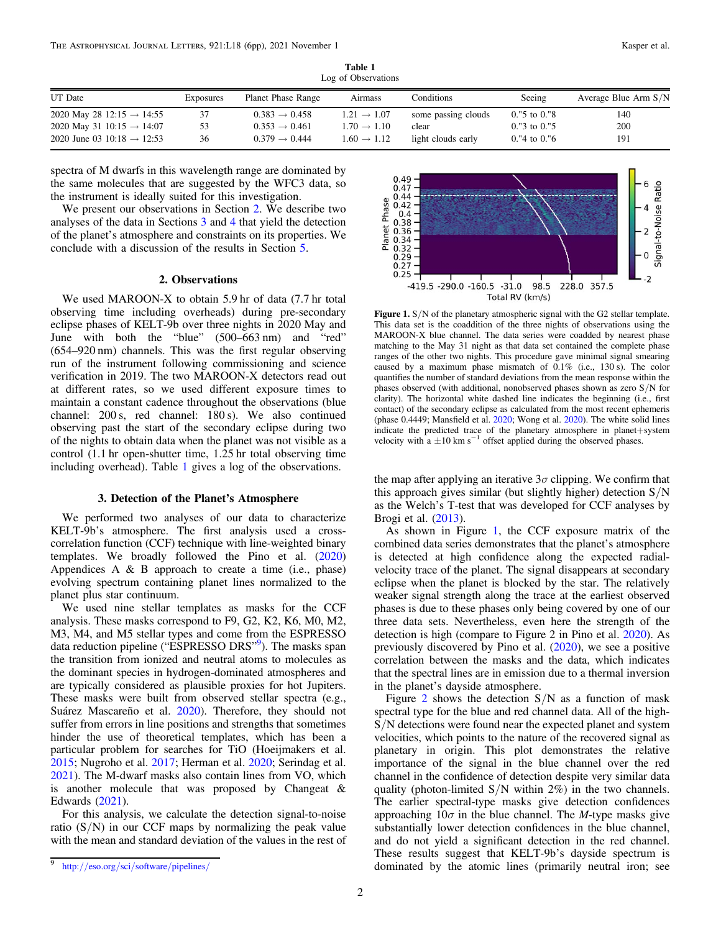<span id="page-2-0"></span>

| LOR OF ODSERVATIONS                    |           |                           |                         |                     |                          |                        |
|----------------------------------------|-----------|---------------------------|-------------------------|---------------------|--------------------------|------------------------|
| <b>UT</b> Date                         | Exposures | Planet Phase Range        | Airmass                 | Conditions          | Seeing                   | Average Blue Arm $S/N$ |
| 2020 May 28 12:15 $\rightarrow$ 14:55  | 37        | $0.383 \rightarrow 0.458$ | $1.21 \rightarrow 1.07$ | some passing clouds | $0.$ "5 to $0.$ "8       | 140                    |
| 2020 May 31 10:15 $\rightarrow$ 14:07  | 53        | $0.353 \rightarrow 0.461$ | $1.70 \rightarrow 1.10$ | clear               | $0.^{0.7}$ to $0.^{0.7}$ | 200                    |
| 2020 June 03 10:18 $\rightarrow$ 12:53 | 36        | $0.379 \rightarrow 0.444$ | $1.60 \rightarrow 1.12$ | light clouds early  | 0."4 to 0."6             | 191                    |

Table 1 Log of Observations

spectra of M dwarfs in this wavelength range are dominated by the same molecules that are suggested by the WFC3 data, so the instrument is ideally suited for this investigation.

We present our observations in Section 2. We describe two analyses of the data in Sections 3 and [4](#page-3-0) that yield the detection of the planet's atmosphere and constraints on its properties. We conclude with a discussion of the results in Section [5.](#page-5-0)

#### 2. Observations

We used MAROON-X to obtain 5.9 hr of data (7.7 hr total observing time including overheads) during pre-secondary eclipse phases of KELT-9b over three nights in 2020 May and June with both the "blue" (500–663 nm) and "red" (654–920 nm) channels. This was the first regular observing run of the instrument following commissioning and science verification in 2019. The two MAROON-X detectors read out at different rates, so we used different exposure times to maintain a constant cadence throughout the observations (blue channel: 200 s, red channel: 180 s). We also continued observing past the start of the secondary eclipse during two of the nights to obtain data when the planet was not visible as a control (1.1 hr open-shutter time, 1.25 hr total observing time including overhead). Table 1 gives a log of the observations.

#### 3. Detection of the Planet's Atmosphere

We performed two analyses of our data to characterize KELT-9b's atmosphere. The first analysis used a crosscorrelation function (CCF) technique with line-weighted binary templates. We broadly followed the Pino et al. ([2020](#page-6-0)) Appendices A  $\&$  B approach to create a time (i.e., phase) evolving spectrum containing planet lines normalized to the planet plus star continuum.

We used nine stellar templates as masks for the CCF analysis. These masks correspond to F9, G2, K2, K6, M0, M2, M3, M4, and M5 stellar types and come from the ESPRESSO data reduction pipeline ("ESPRESSO DRS"<sup>9</sup>). The masks span the transition from ionized and neutral atoms to molecules as the dominant species in hydrogen-dominated atmospheres and are typically considered as plausible proxies for hot Jupiters. These masks were built from observed stellar spectra (e.g., Suárez Mascareño et al. [2020](#page-6-0)). Therefore, they should not suffer from errors in line positions and strengths that sometimes hinder the use of theoretical templates, which has been a particular problem for searches for TiO (Hoeijmakers et al. [2015;](#page-5-0) Nugroho et al. [2017;](#page-5-0) Herman et al. [2020](#page-5-0); Serindag et al. [2021](#page-6-0)). The M-dwarf masks also contain lines from VO, which is another molecule that was proposed by Changeat & Edwards ([2021](#page-5-0)).

For this analysis, we calculate the detection signal-to-noise ratio  $(S/N)$  in our CCF maps by normalizing the peak value with the mean and standard deviation of the values in the rest of



Figure 1. S/N of the planetary atmospheric signal with the G2 stellar template. This data set is the coaddition of the three nights of observations using the MAROON-X blue channel. The data series were coadded by nearest phase matching to the May 31 night as that data set contained the complete phase ranges of the other two nights. This procedure gave minimal signal smearing caused by a maximum phase mismatch of  $0.1\%$  (i.e.,  $130\text{ s}$ ). The color quantifies the number of standard deviations from the mean response within the phases observed (with additional, nonobserved phases shown as zero S/N for clarity). The horizontal white dashed line indicates the beginning (i.e., first contact) of the secondary eclipse as calculated from the most recent ephemeris (phase 0.4449; Mansfield et al. [2020](#page-5-0); Wong et al. [2020](#page-6-0)). The white solid lines indicate the predicted trace of the planetary atmosphere in planet+system velocity with a  $\pm 10 \text{ km s}^{-1}$  offset applied during the observed phases.

the map after applying an iterative  $3\sigma$  clipping. We confirm that this approach gives similar (but slightly higher) detection  $S/N$ as the Welch's T-test that was developed for CCF analyses by Brogi et al. ([2013](#page-5-0)).

As shown in Figure 1, the CCF exposure matrix of the combined data series demonstrates that the planet's atmosphere is detected at high confidence along the expected radialvelocity trace of the planet. The signal disappears at secondary eclipse when the planet is blocked by the star. The relatively weaker signal strength along the trace at the earliest observed phases is due to these phases only being covered by one of our three data sets. Nevertheless, even here the strength of the detection is high (compare to Figure 2 in Pino et al. [2020](#page-6-0)). As previously discovered by Pino et al. ([2020](#page-6-0)), we see a positive correlation between the masks and the data, which indicates that the spectral lines are in emission due to a thermal inversion in the planet's dayside atmosphere.

Figure [2](#page-3-0) shows the detection  $S/N$  as a function of mask spectral type for the blue and red channel data. All of the high-S/N detections were found near the expected planet and system velocities, which points to the nature of the recovered signal as planetary in origin. This plot demonstrates the relative importance of the signal in the blue channel over the red channel in the confidence of detection despite very similar data quality (photon-limited  $S/N$  within  $2\%$ ) in the two channels. The earlier spectral-type masks give detection confidences approaching  $10\sigma$  in the blue channel. The *M*-type masks give substantially lower detection confidences in the blue channel, and do not yield a significant detection in the red channel. These results suggest that KELT-9b's dayside spectrum is dominated by the atomic lines (primarily neutral iron; see

<sup>9</sup> http://eso.org/sci/software/[pipelines](http://eso.org/sci/software/pipelines/)/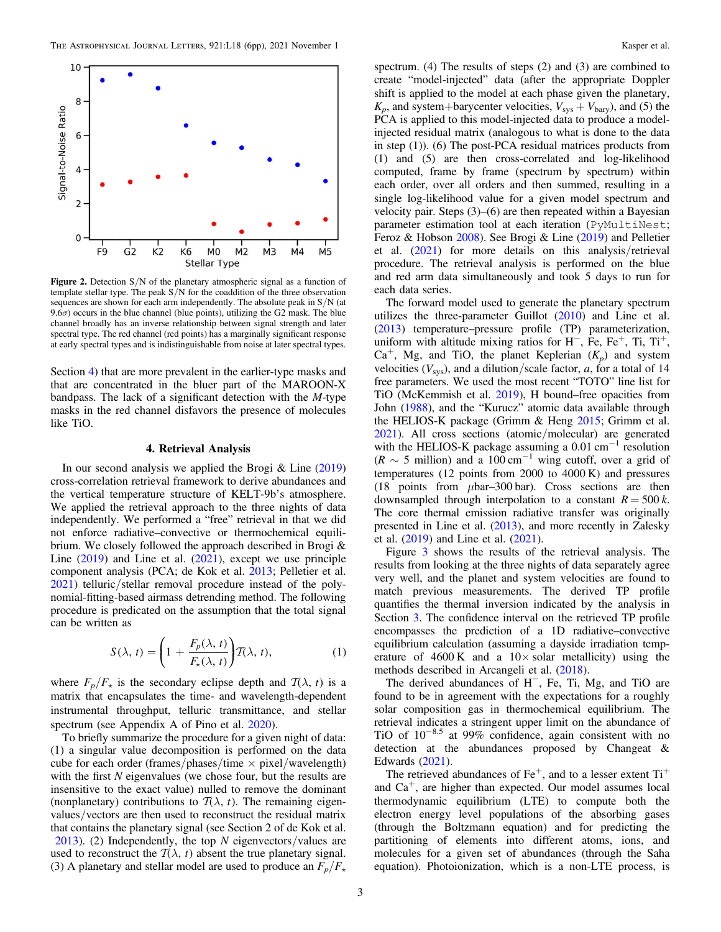<span id="page-3-0"></span>

**Figure 2.** Detection  $S/N$  of the planetary atmospheric signal as a function of template stellar type. The peak  $S/N$  for the coaddition of the three observation sequences are shown for each arm independently. The absolute peak in S/N (at 9.6 $\sigma$ ) occurs in the blue channel (blue points), utilizing the G2 mask. The blue channel broadly has an inverse relationship between signal strength and later spectral type. The red channel (red points) has a marginally significant response at early spectral types and is indistinguishable from noise at later spectral types.

Section 4) that are more prevalent in the earlier-type masks and that are concentrated in the bluer part of the MAROON-X bandpass. The lack of a significant detection with the M-type masks in the red channel disfavors the presence of molecules like TiO.

#### 4. Retrieval Analysis

In our second analysis we applied the Brogi  $&$  Line ([2019](#page-5-0)) cross-correlation retrieval framework to derive abundances and the vertical temperature structure of KELT-9b's atmosphere. We applied the retrieval approach to the three nights of data independently. We performed a "free" retrieval in that we did not enforce radiative–convective or thermochemical equilibrium. We closely followed the approach described in Brogi & Line ([2019](#page-5-0)) and Line et al. ([2021](#page-5-0)), except we use principle component analysis (PCA; de Kok et al. [2013;](#page-5-0) Pelletier et al. [2021](#page-6-0)) telluric/stellar removal procedure instead of the polynomial-fitting-based airmass detrending method. The following procedure is predicated on the assumption that the total signal can be written as

$$
S(\lambda, t) = \left(1 + \frac{F_p(\lambda, t)}{F_\star(\lambda, t)}\right) \mathcal{T}(\lambda, t),\tag{1}
$$

where  $F_p/F_{\star}$  is the secondary eclipse depth and  $\mathcal{T}(\lambda, t)$  is a matrix that encapsulates the time- and wavelength-dependent instrumental throughput, telluric transmittance, and stellar spectrum (see Appendix A of Pino et al. [2020](#page-6-0)).

To briefly summarize the procedure for a given night of data: (1) a singular value decomposition is performed on the data cube for each order (frames/phases/time  $\times$  pixel/wavelength) with the first  $N$  eigenvalues (we chose four, but the results are insensitive to the exact value) nulled to remove the dominant (nonplanetary) contributions to  $\mathcal{T}(\lambda, t)$ . The remaining eigenvalues/vectors are then used to reconstruct the residual matrix that contains the planetary signal (see Section 2 of de Kok et al. [2013](#page-5-0)). (2) Independently, the top  $N$  eigenvectors/values are used to reconstruct the  $T(\lambda, t)$  absent the true planetary signal. (3) A planetary and stellar model are used to produce an  $F_p/F_{\star}$ 

spectrum. (4) The results of steps (2) and (3) are combined to create "model-injected" data (after the appropriate Doppler shift is applied to the model at each phase given the planetary,  $K_p$ , and system+barycenter velocities,  $V_{sys} + V_{bary}$ , and (5) the PCA is applied to this model-injected data to produce a modelinjected residual matrix (analogous to what is done to the data in step (1)). (6) The post-PCA residual matrices products from (1) and (5) are then cross-correlated and log-likelihood computed, frame by frame (spectrum by spectrum) within each order, over all orders and then summed, resulting in a single log-likelihood value for a given model spectrum and velocity pair. Steps (3)–(6) are then repeated within a Bayesian parameter estimation tool at each iteration (PyMultiNest; Feroz & Hobson [2008](#page-5-0)). See Brogi & Line ([2019](#page-5-0)) and Pelletier et al. ([2021](#page-6-0)) for more details on this analysis/retrieval procedure. The retrieval analysis is performed on the blue and red arm data simultaneously and took 5 days to run for each data series.

The forward model used to generate the planetary spectrum utilizes the three-parameter Guillot ([2010](#page-5-0)) and Line et al. ([2013](#page-5-0)) temperature–pressure profile (TP) parameterization, uniform with altitude mixing ratios for H<sup>-</sup>, Fe, Fe<sup>+</sup>, Ti, Ti<sup>+</sup>,  $Ca<sup>+</sup>$ , Mg, and TiO, the planet Keplerian  $(K_p)$  and system velocities  $(V_{\text{sys}})$ , and a dilution/scale factor, a, for a total of 14 free parameters. We used the most recent "TOTO" line list for TiO (McKemmish et al. [2019](#page-5-0)), H bound–free opacities from John ([1988](#page-5-0)), and the "Kurucz" atomic data available through the HELIOS-K package (Grimm & Heng [2015](#page-5-0); Grimm et al. [2021](#page-5-0)). All cross sections (atomic/molecular) are generated with the HELIOS-K package assuming a  $0.01 \text{ cm}^{-1}$  resolution  $(R \sim 5 \text{ million})$  and a 100 cm<sup>-1</sup> wing cutoff, over a grid of temperatures (12 points from 2000 to 4000 K) and pressures (18 points from  $\mu$ bar–300 bar). Cross sections are then downsampled through interpolation to a constant  $R = 500 k$ . The core thermal emission radiative transfer was originally presented in Line et al. ([2013](#page-5-0)), and more recently in Zalesky et al. ([2019](#page-6-0)) and Line et al. ([2021](#page-5-0)).

Figure [3](#page-4-0) shows the results of the retrieval analysis. The results from looking at the three nights of data separately agree very well, and the planet and system velocities are found to match previous measurements. The derived TP profile quantifies the thermal inversion indicated by the analysis in Section [3.](#page-2-0) The confidence interval on the retrieved TP profile encompasses the prediction of a 1D radiative–convective equilibrium calculation (assuming a dayside irradiation temperature of  $4600 \text{ K}$  and a  $10 \times \text{ solar metallicity}$  using the methods described in Arcangeli et al. ([2018](#page-5-0)).

The derived abundances of H−, Fe, Ti, Mg, and TiO are found to be in agreement with the expectations for a roughly solar composition gas in thermochemical equilibrium. The retrieval indicates a stringent upper limit on the abundance of TiO of 10−8.5 at 99% confidence, again consistent with no detection at the abundances proposed by Changeat & Edwards ([2021](#page-5-0)).

The retrieved abundances of  $Fe<sup>+</sup>$ , and to a lesser extent  $Ti<sup>+</sup>$ and  $Ca<sup>+</sup>$ , are higher than expected. Our model assumes local thermodynamic equilibrium (LTE) to compute both the electron energy level populations of the absorbing gases (through the Boltzmann equation) and for predicting the partitioning of elements into different atoms, ions, and molecules for a given set of abundances (through the Saha equation). Photoionization, which is a non-LTE process, is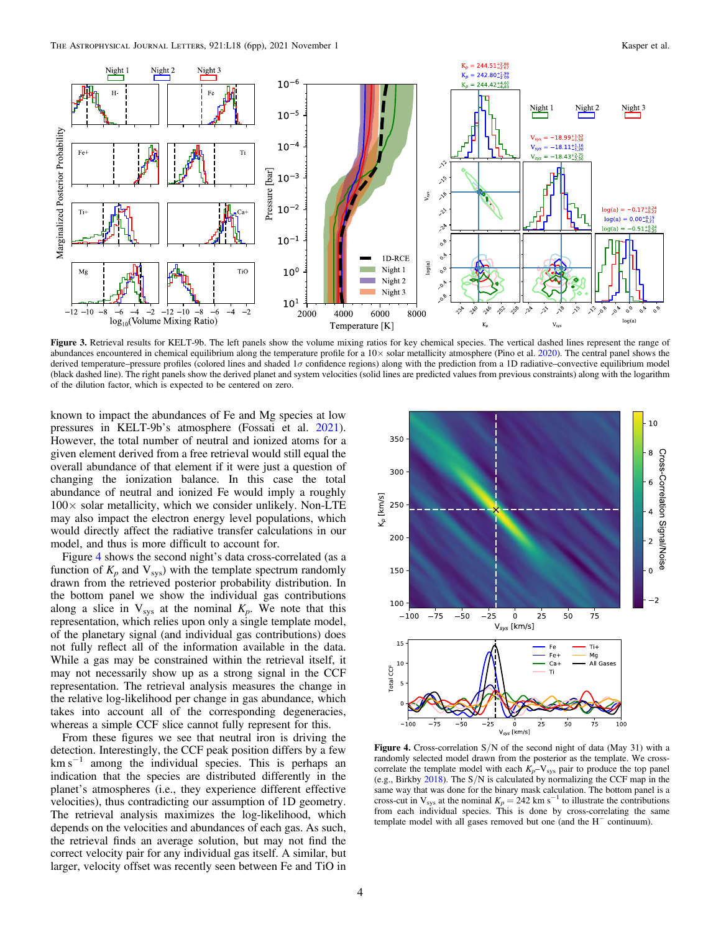<span id="page-4-0"></span>

Figure 3. Retrieval results for KELT-9b. The left panels show the volume mixing ratios for key chemical species. The vertical dashed lines represent the range of abundances encountered in chemical equilibrium along the temperature profile for a 10× solar metallicity atmosphere (Pino et al. [2020](#page-6-0)). The central panel shows the derived temperature–pressure profiles (colored lines and shaded  $1\sigma$  confidence regions) along with the prediction from a 1D radiative–convective equilibrium model (black dashed line). The right panels show the derived planet and system velocities (solid lines are predicted values from previous constraints) along with the logarithm of the dilution factor, which is expected to be centered on zero.

known to impact the abundances of Fe and Mg species at low pressures in KELT-9b's atmosphere (Fossati et al. [2021](#page-5-0)). However, the total number of neutral and ionized atoms for a given element derived from a free retrieval would still equal the overall abundance of that element if it were just a question of changing the ionization balance. In this case the total abundance of neutral and ionized Fe would imply a roughly  $100\times$  solar metallicity, which we consider unlikely. Non-LTE may also impact the electron energy level populations, which would directly affect the radiative transfer calculations in our model, and thus is more difficult to account for.

Figure 4 shows the second night's data cross-correlated (as a function of  $K_p$  and  $V_{\text{sys}}$ ) with the template spectrum randomly drawn from the retrieved posterior probability distribution. In the bottom panel we show the individual gas contributions along a slice in  $V_{sys}$  at the nominal  $K_p$ . We note that this representation, which relies upon only a single template model, of the planetary signal (and individual gas contributions) does not fully reflect all of the information available in the data. While a gas may be constrained within the retrieval itself, it may not necessarily show up as a strong signal in the CCF representation. The retrieval analysis measures the change in the relative log-likelihood per change in gas abundance, which takes into account all of the corresponding degeneracies, whereas a simple CCF slice cannot fully represent for this.

From these figures we see that neutral iron is driving the detection. Interestingly, the CCF peak position differs by a few  $km s<sup>-1</sup>$  among the individual species. This is perhaps an indication that the species are distributed differently in the planet's atmospheres (i.e., they experience different effective velocities), thus contradicting our assumption of 1D geometry. The retrieval analysis maximizes the log-likelihood, which depends on the velocities and abundances of each gas. As such, the retrieval finds an average solution, but may not find the correct velocity pair for any individual gas itself. A similar, but larger, velocity offset was recently seen between Fe and TiO in



Figure 4. Cross-correlation  $S/N$  of the second night of data (May 31) with a randomly selected model drawn from the posterior as the template. We crosscorrelate the template model with each  $K_p-V_{sys}$  pair to produce the top panel (e.g., Birkby [2018](#page-5-0)). The S/N is calculated by normalizing the CCF map in the same way that was done for the binary mask calculation. The bottom panel is a cross-cut in V<sub>sys</sub> at the nominal  $K_p = 242$  km s<sup>-1</sup> to illustrate the contributions from each individual species. This is done by cross-correlating the same template model with all gases removed but one (and the H<sup>−</sup> continuum).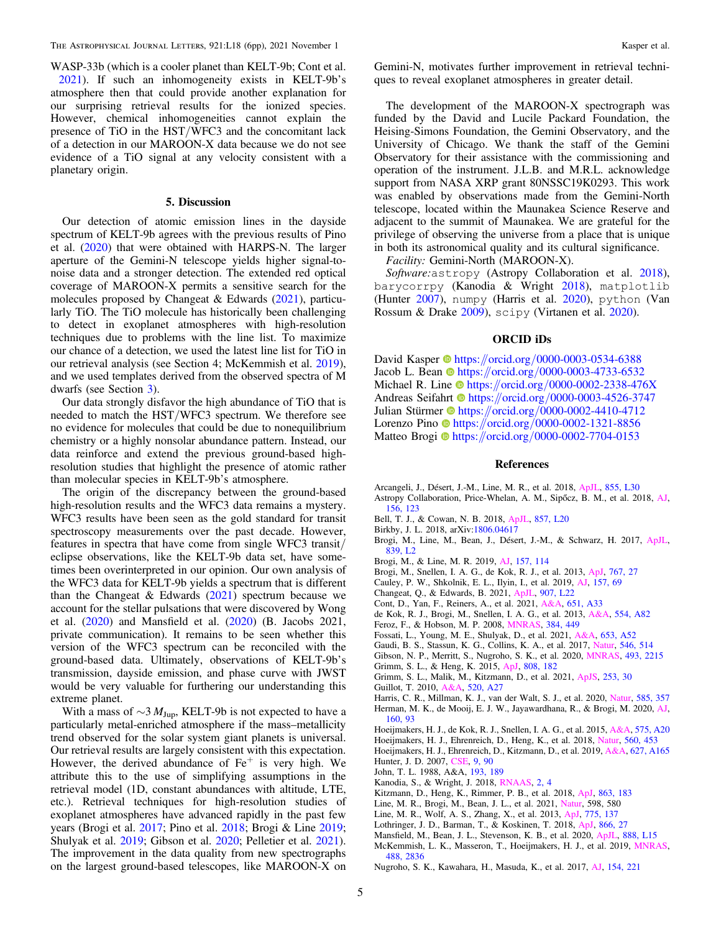<span id="page-5-0"></span>WASP-33b (which is a cooler planet than KELT-9b; Cont et al. 2021). If such an inhomogeneity exists in KELT-9b's atmosphere then that could provide another explanation for our surprising retrieval results for the ionized species. However, chemical inhomogeneities cannot explain the presence of TiO in the HST/WFC3 and the concomitant lack of a detection in our MAROON-X data because we do not see evidence of a TiO signal at any velocity consistent with a planetary origin.

#### 5. Discussion

Our detection of atomic emission lines in the dayside spectrum of KELT-9b agrees with the previous results of Pino et al. ([2020](#page-6-0)) that were obtained with HARPS-N. The larger aperture of the Gemini-N telescope yields higher signal-tonoise data and a stronger detection. The extended red optical coverage of MAROON-X permits a sensitive search for the molecules proposed by Changeat & Edwards (2021), particularly TiO. The TiO molecule has historically been challenging to detect in exoplanet atmospheres with high-resolution techniques due to problems with the line list. To maximize our chance of a detection, we used the latest line list for TiO in our retrieval analysis (see Section 4; McKemmish et al. 2019), and we used templates derived from the observed spectra of M dwarfs (see Section [3](#page-2-0)).

Our data strongly disfavor the high abundance of TiO that is needed to match the HST/WFC3 spectrum. We therefore see no evidence for molecules that could be due to nonequilibrium chemistry or a highly nonsolar abundance pattern. Instead, our data reinforce and extend the previous ground-based highresolution studies that highlight the presence of atomic rather than molecular species in KELT-9b's atmosphere.

The origin of the discrepancy between the ground-based high-resolution results and the WFC3 data remains a mystery. WFC3 results have been seen as the gold standard for transit spectroscopy measurements over the past decade. However, features in spectra that have come from single WFC3 transit/ eclipse observations, like the KELT-9b data set, have sometimes been overinterpreted in our opinion. Our own analysis of the WFC3 data for KELT-9b yields a spectrum that is different than the Changeat  $&$  Edwards (2021) spectrum because we account for the stellar pulsations that were discovered by Wong et al. ([2020](#page-6-0)) and Mansfield et al. (2020) (B. Jacobs 2021, private communication). It remains to be seen whether this version of the WFC3 spectrum can be reconciled with the ground-based data. Ultimately, observations of KELT-9b's transmission, dayside emission, and phase curve with JWST would be very valuable for furthering our understanding this extreme planet.

With a mass of  $\sim$ 3  $M_{\text{Jup}}$ , KELT-9b is not expected to have a particularly metal-enriched atmosphere if the mass–metallicity trend observed for the solar system giant planets is universal. Our retrieval results are largely consistent with this expectation. However, the derived abundance of  $Fe<sup>+</sup>$  is very high. We attribute this to the use of simplifying assumptions in the retrieval model (1D, constant abundances with altitude, LTE, etc.). Retrieval techniques for high-resolution studies of exoplanet atmospheres have advanced rapidly in the past few years (Brogi et al. 2017; Pino et al. [2018](#page-6-0); Brogi & Line 2019; Shulyak et al. [2019;](#page-6-0) Gibson et al. 2020; Pelletier et al. [2021](#page-6-0)). The improvement in the data quality from new spectrographs on the largest ground-based telescopes, like MAROON-X on

Gemini-N, motivates further improvement in retrieval techniques to reveal exoplanet atmospheres in greater detail.

The development of the MAROON-X spectrograph was funded by the David and Lucile Packard Foundation, the Heising-Simons Foundation, the Gemini Observatory, and the University of Chicago. We thank the staff of the Gemini Observatory for their assistance with the commissioning and operation of the instrument. J.L.B. and M.R.L. acknowledge support from NASA XRP grant 80NSSC19K0293. This work was enabled by observations made from the Gemini-North telescope, located within the Maunakea Science Reserve and adjacent to the summit of Maunakea. We are grateful for the privilege of observing the universe from a place that is unique in both its astronomical quality and its cultural significance.

Facility: Gemini-North (MAROON-X).

Software: astropy (Astropy Collaboration et al. 2018), barycorrpy (Kanodia & Wright 2018), matplotlib (Hunter 2007), numpy (Harris et al. 2020), python (Van Rossum & Drake [2009](#page-6-0)), scipy (Virtanen et al. [2020](#page-6-0)).

#### ORCID iDs

David Kaspe[r](https://orcid.org/0000-0003-0534-6388) <sup>to</sup> [https:](https://orcid.org/0000-0003-0534-6388)//orcid.org/[0000-0003-0534-6388](https://orcid.org/0000-0003-0534-6388) Jacob L. Bean  $\Phi$  [https:](https://orcid.org/0000-0003-4733-6532)//orcid.org/[0000-0003-4733-6532](https://orcid.org/0000-0003-4733-6532) Michael R. Line  $\bullet$  [https:](https://orcid.org/0000-0002-2338-476X)//orcid.org/[0000-0002-2338-476X](https://orcid.org/0000-0002-2338-476X) Andreas Seifahr[t](https://orcid.org/0000-0003-4526-3747) **[https:](https://orcid.org/0000-0003-4526-3747)//orcid.org/[0000-0003-4526-3747](https://orcid.org/0000-0003-4526-3747)** Julian Stü[r](https://orcid.org/0000-0002-4410-4712)mer in [https:](https://orcid.org/0000-0002-4410-4712)//orcid.org/[0000-0002-4410-4712](https://orcid.org/0000-0002-4410-4712) Lorenzo Pin[o](https://orcid.org/0000-0002-1321-8856) [https:](https://orcid.org/0000-0002-1321-8856)//orcid.org/[0000-0002-1321-8856](https://orcid.org/0000-0002-1321-8856) Matteo Brogi <sup>th</sup> [https:](https://orcid.org/0000-0002-7704-0153)//orcid.org/[0000-0002-7704-0153](https://orcid.org/0000-0002-7704-0153)

#### References

- Arcangeli, J., Désert, J.-M., Line, M. R., et al. 2018, [ApJL](https://doi.org/10.3847/2041-8213/aab272), [855, L30](https://ui.adsabs.harvard.edu/abs/2018ApJ...855L..30A/abstract) Astropy Collaboration, Price-Whelan, A. M., Sipőcz, B. M., et al. 2018, [AJ](https://doi.org/10.3847/1538-3881/aac387)[,](https://ui.adsabs.harvard.edu/abs/2018AJ....156..123A/abstract) [156, 123](https://ui.adsabs.harvard.edu/abs/2018AJ....156..123A/abstract)
- Bell, T. J., & Cowan, N. B. 2018, [ApJL](https://doi.org/10.3847/2041-8213/aabcc8), [857, L20](https://ui.adsabs.harvard.edu/abs/2018ApJ...857L..20B/abstract)
- Birkby, J. L. 2018, arXiv[:1806.04617](http://arxiv.org/abs/1806.04617)
- Brogi, M., Line, M., Bean, J., Désert, J.-M., & Schwarz, H. 2017, [ApJL](https://doi.org/10.3847/2041-8213/aa6933)[,](https://ui.adsabs.harvard.edu/abs/2017ApJ...839L...2B/abstract) [839, L2](https://ui.adsabs.harvard.edu/abs/2017ApJ...839L...2B/abstract)
- Brogi, M., & Line, M. R. 2019, [AJ](https://doi.org/10.3847/1538-3881/aaffd3), [157, 114](https://ui.adsabs.harvard.edu/abs/2019AJ....157..114B/abstract)
- Brogi, M., Snellen, I. A. G., de Kok, R. J., et al. 2013, [ApJ,](https://doi.org/10.1088/0004-637X/767/1/27) [767, 27](https://ui.adsabs.harvard.edu/abs/2013ApJ...767...27B/abstract)
- Cauley, P. W., Shkolnik, E. L., Ilyin, I., et al. 2019, [AJ](https://doi.org/10.3847/1538-3881/aaf725), [157, 69](https://ui.adsabs.harvard.edu/abs/2019AJ....157...69C/abstract)
- Changeat, Q., & Edwards, B. 2021, [ApJL](https://doi.org/10.3847/2041-8213/abd84f), [907, L22](https://ui.adsabs.harvard.edu/abs/2021ApJ...907L..22C/abstract)
- Cont, D., Yan, F., Reiners, A., et al. 2021, [A&A](https://doi.org/10.1051/0004-6361/202140732), [651, A33](https://ui.adsabs.harvard.edu/abs/2021A&A...651A..33C/abstract)
- de Kok, R. J., Brogi, M., Snellen, I. A. G., et al. 2013, [A&A](https://doi.org/10.1051/0004-6361/201321381), [554, A82](https://ui.adsabs.harvard.edu/abs/2013A&A...554A..82D/abstract)
- Feroz, F., & Hobson, M. P. 2008, [MNRAS](https://doi.org/10.1111/j.1365-2966.2007.12353.x), [384, 449](https://ui.adsabs.harvard.edu/abs/2008MNRAS.384..449F/abstract)
- Fossati, L., Young, M. E., Shulyak, D., et al. 2021, [A&A,](https://doi.org/10.1051/0004-6361/202140813) [653, A52](https://ui.adsabs.harvard.edu/abs/2021A&A...653A..52F/abstract)
- Gaudi, B. S., Stassun, K. G., Collins, K. A., et al. 2017, [Natur,](https://doi.org/10.1038/nature22392) [546, 514](https://ui.adsabs.harvard.edu/abs/2017Natur.546..514G/abstract)
- Gibson, N. P., Merritt, S., Nugroho, S. K., et al. 2020, [MNRAS](https://doi.org/10.1093/mnras/staa228), [493, 2215](https://ui.adsabs.harvard.edu/abs/2020MNRAS.493.2215G/abstract)
- Grimm, S. L., & Heng, K. 2015, [ApJ](https://doi.org/10.1088/0004-637X/808/2/182), [808, 182](https://ui.adsabs.harvard.edu/abs/2015ApJ...808..182G/abstract)
- Grimm, S. L., Malik, M., Kitzmann, D., et al. 2021, [ApJS,](https://doi.org/10.3847/1538-4365/abd773) [253, 30](https://ui.adsabs.harvard.edu/abs/2021ApJS..253...30G/abstract)
- Guillot, T. 2010, [A&A,](https://doi.org/10.1051/0004-6361/200913396) [520, A27](https://ui.adsabs.harvard.edu/abs/2010A&A...520A..27G/abstract)
- Harris, C. R., Millman, K. J., van der Walt, S. J., et al. 2020, [Natur](https://doi.org/10.1038/s41586-020-2649-2), [585, 357](https://ui.adsabs.harvard.edu/abs/2020Natur.585..357H/abstract) Herman, M. K., de Mooij, E. J. W., Jayawardhana, R., & Brogi, M. 2020, [AJ](https://doi.org/10.3847/1538-3881/ab9e77)[,](https://ui.adsabs.harvard.edu/abs/2020AJ....160...93H/abstract) [160, 93](https://ui.adsabs.harvard.edu/abs/2020AJ....160...93H/abstract)
- Hoeijmakers, H. J., de Kok, R. J., Snellen, I. A. G., et al. 2015, [A&A,](https://doi.org/10.1051/0004-6361/201424794) [575, A20](https://ui.adsabs.harvard.edu/abs/2015A&A...575A..20H/abstract)
- Hoeijmakers, H. J., Ehrenreich, D., Heng, K., et al. 2018, [Natur,](https://doi.org/10.1038/s41586-018-0401-y) [560, 453](https://ui.adsabs.harvard.edu/abs/2018Natur.560..453H/abstract)
- Hoeijmakers, H. J., Ehrenreich, D., Kitzmann, D., et al. 2019, [A&A,](https://doi.org/10.1051/0004-6361/201935089) [627, A165](https://ui.adsabs.harvard.edu/abs/2019A&A...627A.165H/abstract) Hunter, J. D. 2007, [CSE,](https://doi.org/10.1109/MCSE.2007.55) [9, 90](https://ui.adsabs.harvard.edu/abs/2007CSE.....9...90H/abstract)
- John, T. L. 1988, A&A, [193, 189](https://ui.adsabs.harvard.edu/abs/1988A&A...193..189J/abstract)
- Kanodia, S., & Wright, J. 2018, [RNAAS](https://doi.org/10.3847/2515-5172/aaa4b7), [2, 4](https://ui.adsabs.harvard.edu/abs/2018RNAAS...2....4K/abstract)
- Kitzmann, D., Heng, K., Rimmer, P. B., et al. 2018, [ApJ,](https://doi.org/10.3847/1538-4357/aace5a) [863, 183](https://ui.adsabs.harvard.edu/abs/2018ApJ...863..183K/abstract)
- Line, M. R., Brogi, M., Bean, J. L., et al. 2021, [Natur](https://doi.org/10.1038/s41586-021-03912-6), 598, 580
- Line, M. R., Wolf, A. S., Zhang, X., et al. 2013, [ApJ](https://doi.org/10.1088/0004-637X/775/2/137), [775, 137](https://ui.adsabs.harvard.edu/abs/2013ApJ...775..137L/abstract)
- Lothringer, J. D., Barman, T., & Koskinen, T. 2018, [ApJ](https://doi.org/10.3847/1538-4357/aadd9e), [866, 27](https://ui.adsabs.harvard.edu/abs/2018ApJ...866...27L/abstract)
- Mansfield, M., Bean, J. L., Stevenson, K. B., et al. 2020, [ApJL](https://doi.org/10.3847/2041-8213/ab5b09), [888, L15](https://ui.adsabs.harvard.edu/abs/2020ApJ...888L..15M/abstract) McKemmish, L. K., Masseron, T., Hoeijmakers, H. J., et al. 2019, [MNRAS](https://doi.org/10.1093/mnras/stz1818)[,](https://ui.adsabs.harvard.edu/abs/2019MNRAS.488.2836M/abstract) [488, 2836](https://ui.adsabs.harvard.edu/abs/2019MNRAS.488.2836M/abstract)
- Nugroho, S. K., Kawahara, H., Masuda, K., et al. 2017, [AJ](https://doi.org/10.3847/1538-3881/aa9433), [154, 221](https://ui.adsabs.harvard.edu/abs/2017AJ....154..221N/abstract)